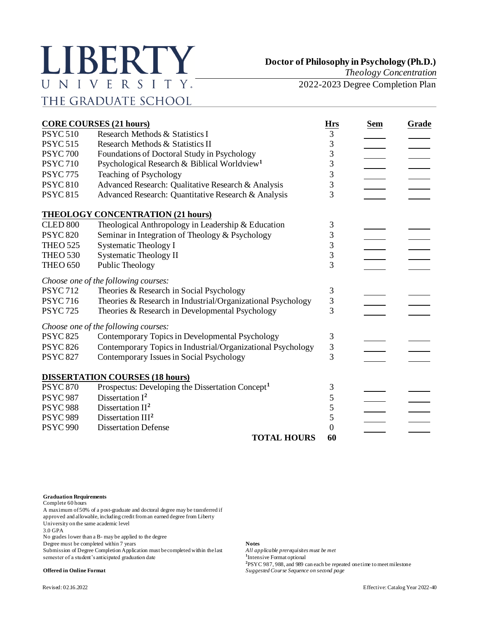## LIBERTY UNIVERSITY. THE GRADUATE SCHOOL

*Theology Concentration*

2022-2023 Degree Completion Plan

|                 | <b>CORE COURSES (21 hours)</b>                               | <b>Hrs</b>     | <b>Sem</b> | Grade |
|-----------------|--------------------------------------------------------------|----------------|------------|-------|
| <b>PSYC 510</b> | Research Methods & Statistics I                              | 3              |            |       |
| <b>PSYC 515</b> | Research Methods & Statistics II                             | 3              |            |       |
| <b>PSYC 700</b> | Foundations of Doctoral Study in Psychology                  | 3              |            |       |
| <b>PSYC 710</b> | Psychological Research & Biblical Worldview <sup>1</sup>     | 3              |            |       |
| <b>PSYC 775</b> | Teaching of Psychology                                       | 3              |            |       |
| <b>PSYC 810</b> | Advanced Research: Qualitative Research & Analysis           | 3              |            |       |
| <b>PSYC 815</b> | Advanced Research: Quantitative Research & Analysis          | 3              |            |       |
|                 | <b>THEOLOGY CONCENTRATION (21 hours)</b>                     |                |            |       |
| <b>CLED 800</b> | Theological Anthropology in Leadership & Education           | 3              |            |       |
| <b>PSYC 820</b> | Seminar in Integration of Theology & Psychology              | 3              |            |       |
| <b>THEO 525</b> | <b>Systematic Theology I</b>                                 | 3              |            |       |
| <b>THEO 530</b> | <b>Systematic Theology II</b>                                | 3              |            |       |
| <b>THEO 650</b> | Public Theology                                              | 3              |            |       |
|                 | Choose one of the following courses:                         |                |            |       |
| <b>PSYC 712</b> | Theories & Research in Social Psychology                     | $\mathfrak{Z}$ |            |       |
| <b>PSYC 716</b> | Theories & Research in Industrial/Organizational Psychology  | 3              |            |       |
| <b>PSYC 725</b> | Theories & Research in Developmental Psychology              | $\overline{3}$ |            |       |
|                 | Choose one of the following courses:                         |                |            |       |
| <b>PSYC 825</b> | Contemporary Topics in Developmental Psychology              | 3              |            |       |
| <b>PSYC 826</b> | Contemporary Topics in Industrial/Organizational Psychology  | 3              |            |       |
| <b>PSYC 827</b> | Contemporary Issues in Social Psychology                     | 3              |            |       |
|                 | <b>DISSERTATION COURSES (18 hours)</b>                       |                |            |       |
| <b>PSYC 870</b> | Prospectus: Developing the Dissertation Concept <sup>1</sup> | 3              |            |       |
| <b>PSYC 987</b> | Dissertation $I^2$                                           | 5              |            |       |
| <b>PSYC 988</b> | Dissertation $II2$                                           | 5              |            |       |
| <b>PSYC 989</b> | Dissertation III <sup>2</sup>                                | 5              |            |       |
| <b>PSYC 990</b> | <b>Dissertation Defense</b>                                  | $\theta$       |            |       |
|                 | <b>TOTAL HOURS</b>                                           | 60             |            |       |

## **Graduation Requirements**

Complete 60 hours

A maximum of 50% of a post-graduate and doctoral degree may be transferred if approved and allowable, including credit from an earned degree from Liberty University on the same academic level

3.0 GPA

No grades lower than a B- may be applied to the degree

Degree must be completed within 7 years<br>Submission of Degree Completion Application must be completed within the last *All applicable prerequisites must be met* Submission of Degree Completion Application must be completed within the last semester of a student's anticipated graduation date **<sup>1</sup>**

<sup>1</sup>Intensive Format optional **2** PSYC 987, 988, and 989 can each be repeated one time to meet milestone **Offered in Online Format** *Suggested Course Sequence on second page*